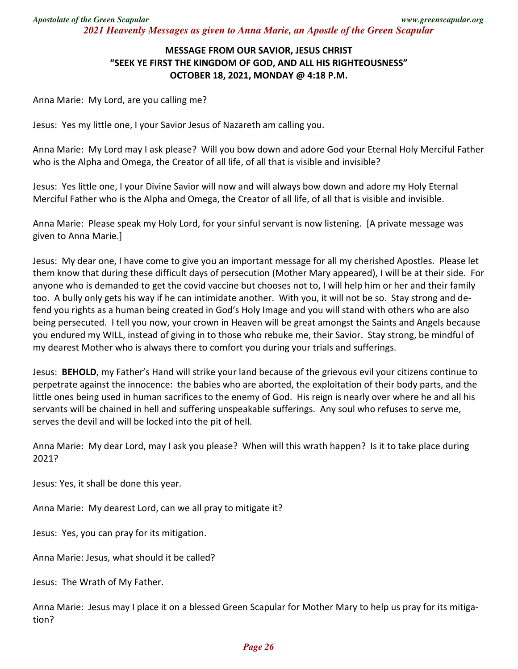## **MESSAGE FROM OUR SAVIOR, JESUS CHRIST "SEEK YE FIRST THE KINGDOM OF GOD, AND ALL HIS RIGHTEOUSNESS" OCTOBER 18, 2021, MONDAY @ 4:18 P.M.**

Anna Marie: My Lord, are you calling me?

Jesus: Yes my little one, I your Savior Jesus of Nazareth am calling you.

Anna Marie: My Lord may I ask please? Will you bow down and adore God your Eternal Holy Merciful Father who is the Alpha and Omega, the Creator of all life, of all that is visible and invisible?

Jesus: Yes little one, I your Divine Savior will now and will always bow down and adore my Holy Eternal Merciful Father who is the Alpha and Omega, the Creator of all life, of all that is visible and invisible.

Anna Marie: Please speak my Holy Lord, for your sinful servant is now listening. [A private message was given to Anna Marie.]

Jesus: My dear one, I have come to give you an important message for all my cherished Apostles. Please let them know that during these difficult days of persecution (Mother Mary appeared), I will be at their side. For anyone who is demanded to get the covid vaccine but chooses not to, I will help him or her and their family too. A bully only gets his way if he can intimidate another. With you, it will not be so. Stay strong and defend you rights as a human being created in God's Holy Image and you will stand with others who are also being persecuted. I tell you now, your crown in Heaven will be great amongst the Saints and Angels because you endured my WILL, instead of giving in to those who rebuke me, their Savior. Stay strong, be mindful of my dearest Mother who is always there to comfort you during your trials and sufferings.

Jesus: **BEHOLD**, my Father's Hand will strike your land because of the grievous evil your citizens continue to perpetrate against the innocence: the babies who are aborted, the exploitation of their body parts, and the little ones being used in human sacrifices to the enemy of God. His reign is nearly over where he and all his servants will be chained in hell and suffering unspeakable sufferings. Any soul who refuses to serve me, serves the devil and will be locked into the pit of hell.

Anna Marie: My dear Lord, may I ask you please? When will this wrath happen? Is it to take place during 2021?

Jesus: Yes, it shall be done this year.

Anna Marie: My dearest Lord, can we all pray to mitigate it?

Jesus: Yes, you can pray for its mitigation.

Anna Marie: Jesus, what should it be called?

Jesus: The Wrath of My Father.

Anna Marie: Jesus may I place it on a blessed Green Scapular for Mother Mary to help us pray for its mitigation?